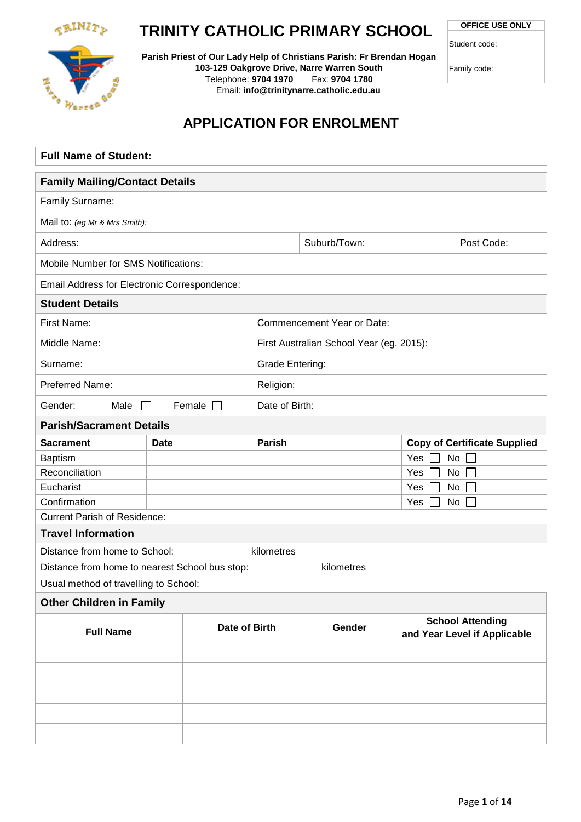

# **TRINITY CATHOLIC PRIMARY SCHOOL**

**Parish Priest of Our Lady Help of Christians Parish: Fr Brendan Hogan 103-129 Oakgrove Drive, Narre Warren South** Telephone: **9704 1970** Fax: **9704 1780** Email: **info@trinitynarre.catholic.edu.au**

**OFFICE USE ONLY**

| Student code: |
|---------------|
|---------------|

Family code:



# **APPLICATION FOR ENROLMENT**

| <b>Full Name of Student:</b>                   |               |                 |  |                                          |       |                                                         |  |
|------------------------------------------------|---------------|-----------------|--|------------------------------------------|-------|---------------------------------------------------------|--|
| <b>Family Mailing/Contact Details</b>          |               |                 |  |                                          |       |                                                         |  |
| Family Surname:                                |               |                 |  |                                          |       |                                                         |  |
| Mail to: (eg Mr & Mrs Smith):                  |               |                 |  |                                          |       |                                                         |  |
| Address:                                       |               |                 |  | Suburb/Town:                             |       | Post Code:                                              |  |
| <b>Mobile Number for SMS Notifications:</b>    |               |                 |  |                                          |       |                                                         |  |
| Email Address for Electronic Correspondence:   |               |                 |  |                                          |       |                                                         |  |
| <b>Student Details</b>                         |               |                 |  |                                          |       |                                                         |  |
| First Name:                                    |               |                 |  | Commencement Year or Date:               |       |                                                         |  |
| Middle Name:                                   |               |                 |  | First Australian School Year (eg. 2015): |       |                                                         |  |
| Surname:                                       |               | Grade Entering: |  |                                          |       |                                                         |  |
| Preferred Name:                                |               | Religion:       |  |                                          |       |                                                         |  |
| Gender:<br>Male                                |               | Date of Birth:  |  |                                          |       |                                                         |  |
| <b>Parish/Sacrament Details</b>                |               |                 |  |                                          |       |                                                         |  |
| <b>Sacrament</b>                               | <b>Date</b>   | <b>Parish</b>   |  |                                          |       | <b>Copy of Certificate Supplied</b>                     |  |
| Baptism                                        |               |                 |  |                                          | Yes [ | No                                                      |  |
| Reconciliation                                 |               |                 |  |                                          | Yes   | No                                                      |  |
| Eucharist                                      |               |                 |  |                                          | Yes [ | No                                                      |  |
| Confirmation                                   |               | Yes  <br>No     |  |                                          |       |                                                         |  |
| <b>Current Parish of Residence:</b>            |               |                 |  |                                          |       |                                                         |  |
| <b>Travel Information</b>                      |               |                 |  |                                          |       |                                                         |  |
| Distance from home to School:                  |               | kilometres      |  |                                          |       |                                                         |  |
| Distance from home to nearest School bus stop: |               |                 |  | kilometres                               |       |                                                         |  |
| Usual method of travelling to School:          |               |                 |  |                                          |       |                                                         |  |
| <b>Other Children in Family</b>                |               |                 |  |                                          |       |                                                         |  |
| <b>Full Name</b>                               | Date of Birth |                 |  | Gender                                   |       | <b>School Attending</b><br>and Year Level if Applicable |  |
|                                                |               |                 |  |                                          |       |                                                         |  |
|                                                |               |                 |  |                                          |       |                                                         |  |
|                                                |               |                 |  |                                          |       |                                                         |  |
|                                                |               |                 |  |                                          |       |                                                         |  |
|                                                |               |                 |  |                                          |       |                                                         |  |
|                                                |               |                 |  |                                          |       |                                                         |  |
|                                                |               |                 |  |                                          |       |                                                         |  |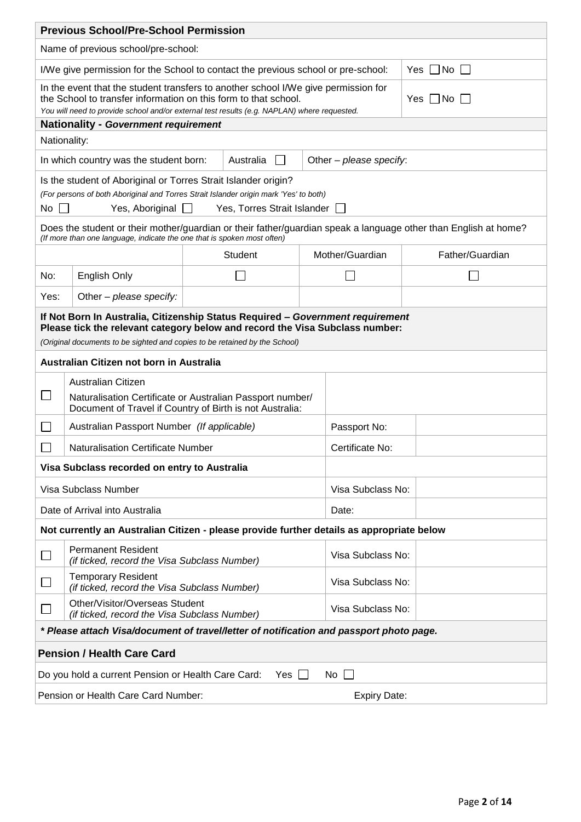|                                                                                                                            | <b>Previous School/Pre-School Permission</b>                                                                                                                                                                                                                        |  |                             |                   |                         |                                                                                                                 |  |
|----------------------------------------------------------------------------------------------------------------------------|---------------------------------------------------------------------------------------------------------------------------------------------------------------------------------------------------------------------------------------------------------------------|--|-----------------------------|-------------------|-------------------------|-----------------------------------------------------------------------------------------------------------------|--|
|                                                                                                                            | Name of previous school/pre-school:                                                                                                                                                                                                                                 |  |                             |                   |                         |                                                                                                                 |  |
|                                                                                                                            | I/We give permission for the School to contact the previous school or pre-school:<br>Yes    No                                                                                                                                                                      |  |                             |                   |                         |                                                                                                                 |  |
|                                                                                                                            | In the event that the student transfers to another school I/We give permission for<br>the School to transfer information on this form to that school.<br>Yes    No  <br>You will need to provide school and/or external test results (e.g. NAPLAN) where requested. |  |                             |                   |                         |                                                                                                                 |  |
| Nationality:                                                                                                               | <b>Nationality - Government requirement</b>                                                                                                                                                                                                                         |  |                             |                   |                         |                                                                                                                 |  |
|                                                                                                                            | In which country was the student born:                                                                                                                                                                                                                              |  | Australia<br>$\Box$         |                   | Other - please specify: |                                                                                                                 |  |
|                                                                                                                            | Is the student of Aboriginal or Torres Strait Islander origin?                                                                                                                                                                                                      |  |                             |                   |                         |                                                                                                                 |  |
|                                                                                                                            | (For persons of both Aboriginal and Torres Strait Islander origin mark 'Yes' to both)                                                                                                                                                                               |  |                             |                   |                         |                                                                                                                 |  |
| No                                                                                                                         | Yes, Aboriginal $\Box$                                                                                                                                                                                                                                              |  | Yes, Torres Strait Islander |                   |                         |                                                                                                                 |  |
|                                                                                                                            | (If more than one language, indicate the one that is spoken most often)                                                                                                                                                                                             |  |                             |                   |                         | Does the student or their mother/guardian or their father/guardian speak a language other than English at home? |  |
|                                                                                                                            |                                                                                                                                                                                                                                                                     |  | <b>Student</b>              |                   | Mother/Guardian         | Father/Guardian                                                                                                 |  |
| No:                                                                                                                        | English Only                                                                                                                                                                                                                                                        |  |                             |                   |                         |                                                                                                                 |  |
| Other – please specify:<br>Yes:                                                                                            |                                                                                                                                                                                                                                                                     |  |                             |                   |                         |                                                                                                                 |  |
|                                                                                                                            | If Not Born In Australia, Citizenship Status Required - Government requirement<br>Please tick the relevant category below and record the Visa Subclass number:<br>(Original documents to be sighted and copies to be retained by the School)                        |  |                             |                   |                         |                                                                                                                 |  |
|                                                                                                                            | Australian Citizen not born in Australia                                                                                                                                                                                                                            |  |                             |                   |                         |                                                                                                                 |  |
|                                                                                                                            | Australian Citizen                                                                                                                                                                                                                                                  |  |                             |                   |                         |                                                                                                                 |  |
| ⊔<br>Naturalisation Certificate or Australian Passport number/<br>Document of Travel if Country of Birth is not Australia: |                                                                                                                                                                                                                                                                     |  |                             |                   |                         |                                                                                                                 |  |
|                                                                                                                            | Australian Passport Number (If applicable)                                                                                                                                                                                                                          |  |                             | Passport No:      |                         |                                                                                                                 |  |
|                                                                                                                            | <b>Naturalisation Certificate Number</b>                                                                                                                                                                                                                            |  |                             |                   | Certificate No:         |                                                                                                                 |  |
| Visa Subclass recorded on entry to Australia                                                                               |                                                                                                                                                                                                                                                                     |  |                             |                   |                         |                                                                                                                 |  |
| Visa Subclass Number<br>Visa Subclass No:                                                                                  |                                                                                                                                                                                                                                                                     |  |                             |                   |                         |                                                                                                                 |  |
| Date of Arrival into Australia<br>Date:                                                                                    |                                                                                                                                                                                                                                                                     |  |                             |                   |                         |                                                                                                                 |  |
|                                                                                                                            | Not currently an Australian Citizen - please provide further details as appropriate below                                                                                                                                                                           |  |                             |                   |                         |                                                                                                                 |  |
| $\Box$                                                                                                                     | <b>Permanent Resident</b><br>(if ticked, record the Visa Subclass Number)                                                                                                                                                                                           |  |                             |                   | Visa Subclass No:       |                                                                                                                 |  |
|                                                                                                                            | <b>Temporary Resident</b><br>(if ticked, record the Visa Subclass Number)                                                                                                                                                                                           |  |                             | Visa Subclass No: |                         |                                                                                                                 |  |
| Other/Visitor/Overseas Student<br>Visa Subclass No:<br>(if ticked, record the Visa Subclass Number)                        |                                                                                                                                                                                                                                                                     |  |                             |                   |                         |                                                                                                                 |  |
|                                                                                                                            | * Please attach Visa/document of travel/letter of notification and passport photo page.                                                                                                                                                                             |  |                             |                   |                         |                                                                                                                 |  |
|                                                                                                                            | <b>Pension / Health Care Card</b>                                                                                                                                                                                                                                   |  |                             |                   |                         |                                                                                                                 |  |
| Do you hold a current Pension or Health Care Card:<br>Yes $\Box$<br>No                                                     |                                                                                                                                                                                                                                                                     |  |                             |                   |                         |                                                                                                                 |  |
|                                                                                                                            | Pension or Health Care Card Number:                                                                                                                                                                                                                                 |  |                             |                   | <b>Expiry Date:</b>     |                                                                                                                 |  |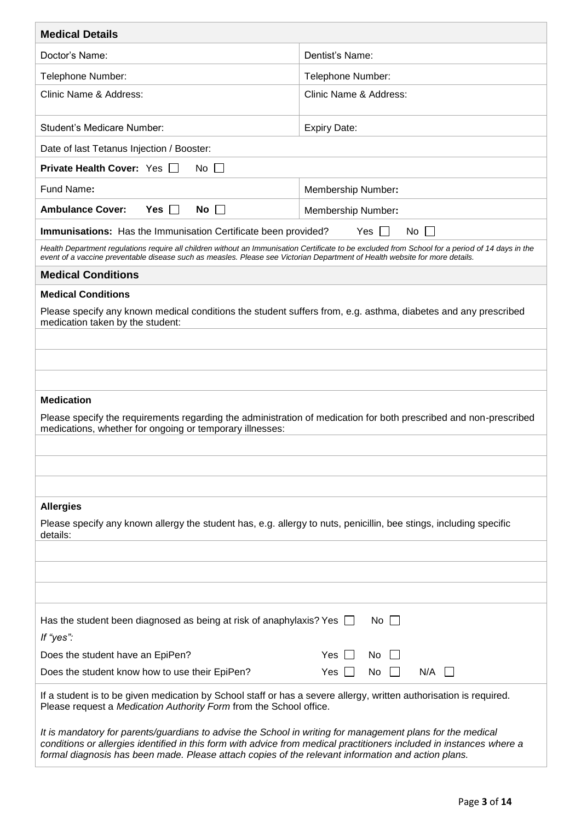| <b>Medical Details</b>                                                                                                                                                                                                                                                                                                                   |                                               |
|------------------------------------------------------------------------------------------------------------------------------------------------------------------------------------------------------------------------------------------------------------------------------------------------------------------------------------------|-----------------------------------------------|
| Doctor's Name:                                                                                                                                                                                                                                                                                                                           | Dentist's Name:                               |
| Telephone Number:                                                                                                                                                                                                                                                                                                                        | Telephone Number:                             |
| Clinic Name & Address:                                                                                                                                                                                                                                                                                                                   | Clinic Name & Address:                        |
| <b>Student's Medicare Number:</b>                                                                                                                                                                                                                                                                                                        | <b>Expiry Date:</b>                           |
| Date of last Tetanus Injection / Booster:                                                                                                                                                                                                                                                                                                |                                               |
| <b>Private Health Cover: Yes</b><br>$No$ $\Box$                                                                                                                                                                                                                                                                                          |                                               |
| Fund Name:                                                                                                                                                                                                                                                                                                                               | Membership Number:                            |
| <b>Ambulance Cover:</b><br>$Yes \mid \mid$<br><b>No</b>                                                                                                                                                                                                                                                                                  | Membership Number:                            |
| Immunisations: Has the Immunisation Certificate been provided?                                                                                                                                                                                                                                                                           | $No$ $\vert \vert$<br>Yes [<br>$\blacksquare$ |
| Health Department regulations require all children without an Immunisation Certificate to be excluded from School for a period of 14 days in the<br>event of a vaccine preventable disease such as measles. Please see Victorian Department of Health website for more details.                                                          |                                               |
| <b>Medical Conditions</b>                                                                                                                                                                                                                                                                                                                |                                               |
| <b>Medical Conditions</b>                                                                                                                                                                                                                                                                                                                |                                               |
| Please specify any known medical conditions the student suffers from, e.g. asthma, diabetes and any prescribed<br>medication taken by the student:                                                                                                                                                                                       |                                               |
|                                                                                                                                                                                                                                                                                                                                          |                                               |
|                                                                                                                                                                                                                                                                                                                                          |                                               |
|                                                                                                                                                                                                                                                                                                                                          |                                               |
| <b>Medication</b><br>Please specify the requirements regarding the administration of medication for both prescribed and non-prescribed<br>medications, whether for ongoing or temporary illnesses:                                                                                                                                       |                                               |
|                                                                                                                                                                                                                                                                                                                                          |                                               |
|                                                                                                                                                                                                                                                                                                                                          |                                               |
| <b>Allergies</b>                                                                                                                                                                                                                                                                                                                         |                                               |
| Please specify any known allergy the student has, e.g. allergy to nuts, penicillin, bee stings, including specific<br>details:                                                                                                                                                                                                           |                                               |
|                                                                                                                                                                                                                                                                                                                                          |                                               |
|                                                                                                                                                                                                                                                                                                                                          |                                               |
|                                                                                                                                                                                                                                                                                                                                          |                                               |
| Has the student been diagnosed as being at risk of anaphylaxis? Yes $\Box$<br>If "yes":                                                                                                                                                                                                                                                  | No                                            |
| Does the student have an EpiPen?                                                                                                                                                                                                                                                                                                         | Yes<br>No                                     |
| Does the student know how to use their EpiPen?                                                                                                                                                                                                                                                                                           | N/A<br>Yes<br>No.                             |
| If a student is to be given medication by School staff or has a severe allergy, written authorisation is required.<br>Please request a Medication Authority Form from the School office.                                                                                                                                                 |                                               |
| It is mandatory for parents/guardians to advise the School in writing for management plans for the medical<br>conditions or allergies identified in this form with advice from medical practitioners included in instances where a<br>formal diagnosis has been made. Please attach copies of the relevant information and action plans. |                                               |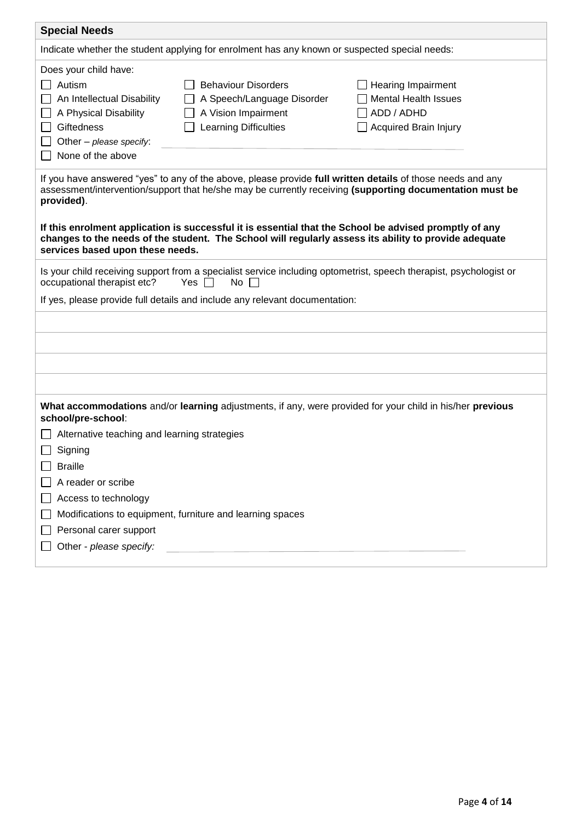| <b>Special Needs</b>                                                                                                                                                                                                                                                                                                                                                                                                                                                                        |  |  |  |  |  |  |
|---------------------------------------------------------------------------------------------------------------------------------------------------------------------------------------------------------------------------------------------------------------------------------------------------------------------------------------------------------------------------------------------------------------------------------------------------------------------------------------------|--|--|--|--|--|--|
| Indicate whether the student applying for enrolment has any known or suspected special needs:                                                                                                                                                                                                                                                                                                                                                                                               |  |  |  |  |  |  |
| Does your child have:<br>Autism<br><b>Behaviour Disorders</b><br>Hearing Impairment<br><b>Mental Health Issues</b><br>An Intellectual Disability<br>A Speech/Language Disorder<br>A Vision Impairment<br>A Physical Disability<br>ADD / ADHD<br><b>Giftedness</b><br><b>Learning Difficulties</b><br><b>Acquired Brain Injury</b><br>Other $-$ please specify:<br>None of the above                                                                                                         |  |  |  |  |  |  |
| If you have answered "yes" to any of the above, please provide full written details of those needs and any<br>assessment/intervention/support that he/she may be currently receiving (supporting documentation must be<br>provided).<br>If this enrolment application is successful it is essential that the School be advised promptly of any<br>changes to the needs of the student. The School will regularly assess its ability to provide adequate<br>services based upon these needs. |  |  |  |  |  |  |
| Is your child receiving support from a specialist service including optometrist, speech therapist, psychologist or<br>Yes $\Box$<br>No $\Box$<br>occupational therapist etc?<br>If yes, please provide full details and include any relevant documentation:                                                                                                                                                                                                                                 |  |  |  |  |  |  |
|                                                                                                                                                                                                                                                                                                                                                                                                                                                                                             |  |  |  |  |  |  |
| What accommodations and/or learning adjustments, if any, were provided for your child in his/her previous<br>school/pre-school:<br>Alternative teaching and learning strategies<br>Signing<br><b>Braille</b><br>A reader or scribe<br>Access to technology<br>Modifications to equipment, furniture and learning spaces<br>Personal carer support<br>Other - please specify:                                                                                                                |  |  |  |  |  |  |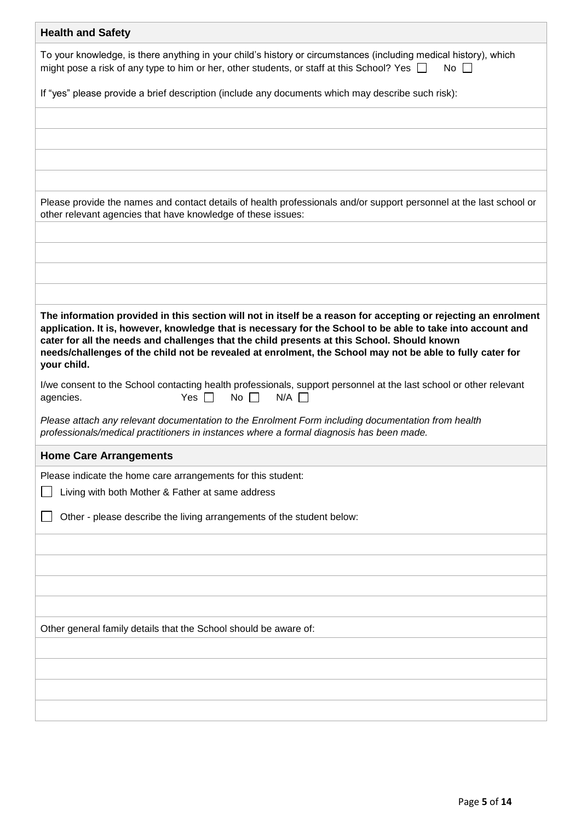| <b>Health and Safety</b>                                                                                                                                                                                                                                                                                                                                                                                                                                  |
|-----------------------------------------------------------------------------------------------------------------------------------------------------------------------------------------------------------------------------------------------------------------------------------------------------------------------------------------------------------------------------------------------------------------------------------------------------------|
| To your knowledge, is there anything in your child's history or circumstances (including medical history), which<br>might pose a risk of any type to him or her, other students, or staff at this School? Yes $\Box$<br>No $\Box$                                                                                                                                                                                                                         |
| If "yes" please provide a brief description (include any documents which may describe such risk):                                                                                                                                                                                                                                                                                                                                                         |
|                                                                                                                                                                                                                                                                                                                                                                                                                                                           |
|                                                                                                                                                                                                                                                                                                                                                                                                                                                           |
|                                                                                                                                                                                                                                                                                                                                                                                                                                                           |
|                                                                                                                                                                                                                                                                                                                                                                                                                                                           |
| Please provide the names and contact details of health professionals and/or support personnel at the last school or<br>other relevant agencies that have knowledge of these issues:                                                                                                                                                                                                                                                                       |
|                                                                                                                                                                                                                                                                                                                                                                                                                                                           |
|                                                                                                                                                                                                                                                                                                                                                                                                                                                           |
|                                                                                                                                                                                                                                                                                                                                                                                                                                                           |
|                                                                                                                                                                                                                                                                                                                                                                                                                                                           |
| The information provided in this section will not in itself be a reason for accepting or rejecting an enrolment<br>application. It is, however, knowledge that is necessary for the School to be able to take into account and<br>cater for all the needs and challenges that the child presents at this School. Should known<br>needs/challenges of the child not be revealed at enrolment, the School may not be able to fully cater for<br>your child. |
| I/we consent to the School contacting health professionals, support personnel at the last school or other relevant<br>No $\Box$<br>$N/A$ $\Box$<br>Yes $\Box$<br>agencies.                                                                                                                                                                                                                                                                                |
| Please attach any relevant documentation to the Enrolment Form including documentation from health<br>professionals/medical practitioners in instances where a formal diagnosis has been made.                                                                                                                                                                                                                                                            |
| <b>Home Care Arrangements</b>                                                                                                                                                                                                                                                                                                                                                                                                                             |
| Please indicate the home care arrangements for this student:                                                                                                                                                                                                                                                                                                                                                                                              |
| Living with both Mother & Father at same address                                                                                                                                                                                                                                                                                                                                                                                                          |
| Other - please describe the living arrangements of the student below:                                                                                                                                                                                                                                                                                                                                                                                     |
|                                                                                                                                                                                                                                                                                                                                                                                                                                                           |
|                                                                                                                                                                                                                                                                                                                                                                                                                                                           |
|                                                                                                                                                                                                                                                                                                                                                                                                                                                           |
|                                                                                                                                                                                                                                                                                                                                                                                                                                                           |
| Other general family details that the School should be aware of:                                                                                                                                                                                                                                                                                                                                                                                          |
|                                                                                                                                                                                                                                                                                                                                                                                                                                                           |
|                                                                                                                                                                                                                                                                                                                                                                                                                                                           |
|                                                                                                                                                                                                                                                                                                                                                                                                                                                           |
|                                                                                                                                                                                                                                                                                                                                                                                                                                                           |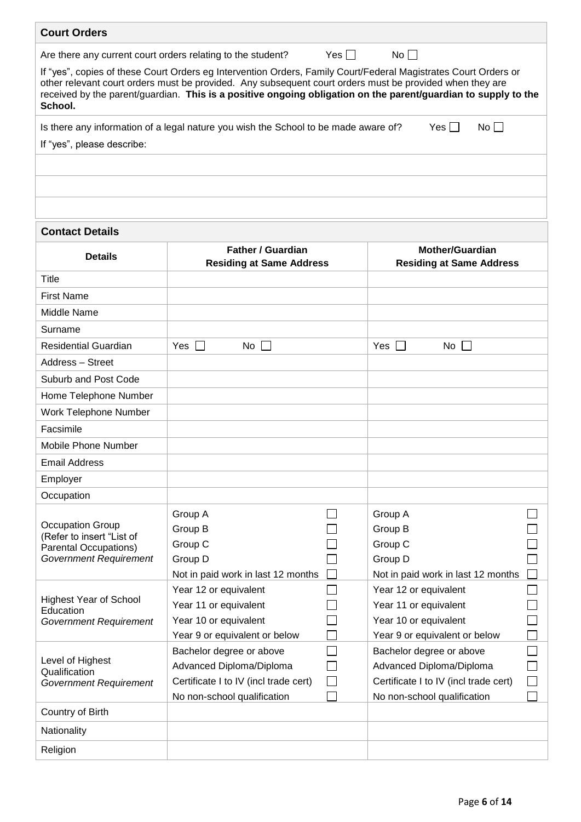| <b>Court Orders</b>                                         |                                                                                                                                                                                                                             |            |                                                                                                                |  |
|-------------------------------------------------------------|-----------------------------------------------------------------------------------------------------------------------------------------------------------------------------------------------------------------------------|------------|----------------------------------------------------------------------------------------------------------------|--|
| Are there any current court orders relating to the student? |                                                                                                                                                                                                                             | Yes $\Box$ | $No \Box$                                                                                                      |  |
| School.                                                     | If "yes", copies of these Court Orders eg Intervention Orders, Family Court/Federal Magistrates Court Orders or<br>other relevant court orders must be provided. Any subsequent court orders must be provided when they are |            | received by the parent/guardian. This is a positive ongoing obligation on the parent/guardian to supply to the |  |
|                                                             | Is there any information of a legal nature you wish the School to be made aware of?                                                                                                                                         |            | Yes    <br>$No$ $\vert$                                                                                        |  |
| If "yes", please describe:                                  |                                                                                                                                                                                                                             |            |                                                                                                                |  |
|                                                             |                                                                                                                                                                                                                             |            |                                                                                                                |  |
|                                                             |                                                                                                                                                                                                                             |            |                                                                                                                |  |
|                                                             |                                                                                                                                                                                                                             |            |                                                                                                                |  |
|                                                             |                                                                                                                                                                                                                             |            |                                                                                                                |  |
| <b>Contact Details</b>                                      |                                                                                                                                                                                                                             |            |                                                                                                                |  |
| <b>Details</b>                                              | <b>Father / Guardian</b>                                                                                                                                                                                                    |            | <b>Mother/Guardian</b>                                                                                         |  |
|                                                             | <b>Residing at Same Address</b>                                                                                                                                                                                             |            | <b>Residing at Same Address</b>                                                                                |  |
| <b>Title</b>                                                |                                                                                                                                                                                                                             |            |                                                                                                                |  |
| <b>First Name</b>                                           |                                                                                                                                                                                                                             |            |                                                                                                                |  |
| Middle Name                                                 |                                                                                                                                                                                                                             |            |                                                                                                                |  |
| Surname                                                     |                                                                                                                                                                                                                             |            |                                                                                                                |  |
| <b>Residential Guardian</b>                                 | $Yes$ $\Box$<br>No.<br>$\perp$                                                                                                                                                                                              |            | Yes $\Box$<br>$No$                                                                                             |  |
| Address - Street                                            |                                                                                                                                                                                                                             |            |                                                                                                                |  |
| <b>Suburb and Post Code</b>                                 |                                                                                                                                                                                                                             |            |                                                                                                                |  |
| Home Telephone Number                                       |                                                                                                                                                                                                                             |            |                                                                                                                |  |
| <b>Work Telephone Number</b>                                |                                                                                                                                                                                                                             |            |                                                                                                                |  |
| Facsimile                                                   |                                                                                                                                                                                                                             |            |                                                                                                                |  |
| <b>Mobile Phone Number</b>                                  |                                                                                                                                                                                                                             |            |                                                                                                                |  |
| <b>Email Address</b>                                        |                                                                                                                                                                                                                             |            |                                                                                                                |  |
| Employer                                                    |                                                                                                                                                                                                                             |            |                                                                                                                |  |
| Occupation                                                  |                                                                                                                                                                                                                             |            |                                                                                                                |  |
|                                                             | Group A                                                                                                                                                                                                                     |            | Group A                                                                                                        |  |
| <b>Occupation Group</b>                                     | Group B                                                                                                                                                                                                                     |            | Group B                                                                                                        |  |
| (Refer to insert "List of<br><b>Parental Occupations)</b>   | Group C                                                                                                                                                                                                                     |            | Group C                                                                                                        |  |
| <b>Government Requirement</b>                               | Group D                                                                                                                                                                                                                     |            | Group D                                                                                                        |  |
|                                                             | Not in paid work in last 12 months                                                                                                                                                                                          |            | Not in paid work in last 12 months                                                                             |  |
|                                                             | Year 12 or equivalent                                                                                                                                                                                                       |            | Year 12 or equivalent                                                                                          |  |
| <b>Highest Year of School</b><br>Education                  | Year 11 or equivalent                                                                                                                                                                                                       |            | Year 11 or equivalent                                                                                          |  |
| <b>Government Requirement</b>                               | Year 10 or equivalent                                                                                                                                                                                                       |            | Year 10 or equivalent                                                                                          |  |
|                                                             | Year 9 or equivalent or below                                                                                                                                                                                               |            | Year 9 or equivalent or below                                                                                  |  |
| Level of Highest                                            | Bachelor degree or above                                                                                                                                                                                                    |            | Bachelor degree or above                                                                                       |  |
| Qualification                                               | Advanced Diploma/Diploma                                                                                                                                                                                                    |            | Advanced Diploma/Diploma                                                                                       |  |
| <b>Government Requirement</b>                               | Certificate I to IV (incl trade cert)                                                                                                                                                                                       | $\Box$     | Certificate I to IV (incl trade cert)                                                                          |  |
| Country of Birth                                            | No non-school qualification                                                                                                                                                                                                 |            | No non-school qualification                                                                                    |  |
|                                                             |                                                                                                                                                                                                                             |            |                                                                                                                |  |
| Nationality                                                 |                                                                                                                                                                                                                             |            |                                                                                                                |  |
| Religion                                                    |                                                                                                                                                                                                                             |            |                                                                                                                |  |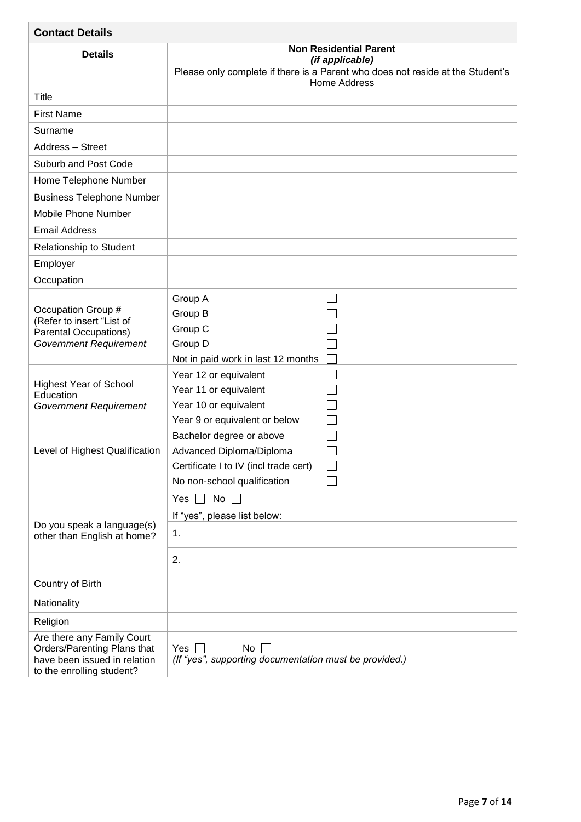| <b>Contact Details</b>                                                                                                 |                                                                                                                              |
|------------------------------------------------------------------------------------------------------------------------|------------------------------------------------------------------------------------------------------------------------------|
| <b>Details</b>                                                                                                         | <b>Non Residential Parent</b><br>(if applicable)                                                                             |
|                                                                                                                        | Please only complete if there is a Parent who does not reside at the Student's<br><b>Home Address</b>                        |
| Title                                                                                                                  |                                                                                                                              |
| <b>First Name</b>                                                                                                      |                                                                                                                              |
| Surname                                                                                                                |                                                                                                                              |
| Address - Street                                                                                                       |                                                                                                                              |
| Suburb and Post Code                                                                                                   |                                                                                                                              |
| Home Telephone Number                                                                                                  |                                                                                                                              |
| <b>Business Telephone Number</b>                                                                                       |                                                                                                                              |
| Mobile Phone Number                                                                                                    |                                                                                                                              |
| <b>Email Address</b>                                                                                                   |                                                                                                                              |
| Relationship to Student                                                                                                |                                                                                                                              |
| Employer                                                                                                               |                                                                                                                              |
| Occupation                                                                                                             |                                                                                                                              |
| Occupation Group #<br>(Refer to insert "List of<br><b>Parental Occupations)</b><br><b>Government Requirement</b>       | Group A<br>Group B<br>Group C<br>Group D<br>Not in paid work in last 12 months<br>Year 12 or equivalent                      |
| <b>Highest Year of School</b><br>Education<br><b>Government Requirement</b>                                            | Year 11 or equivalent<br>Year 10 or equivalent<br>Year 9 or equivalent or below                                              |
| Level of Highest Qualification                                                                                         | Bachelor degree or above<br>Advanced Diploma/Diploma<br>Certificate I to IV (incl trade cert)<br>No non-school qualification |
| Do you speak a language(s)<br>other than English at home?                                                              | No $\square$<br>Yes $\Box$<br>If "yes", please list below:<br>1.<br>2.                                                       |
| Country of Birth                                                                                                       |                                                                                                                              |
| Nationality                                                                                                            |                                                                                                                              |
| Religion                                                                                                               |                                                                                                                              |
| Are there any Family Court<br>Orders/Parenting Plans that<br>have been issued in relation<br>to the enrolling student? | Yes I<br>No<br>(If "yes", supporting documentation must be provided.)                                                        |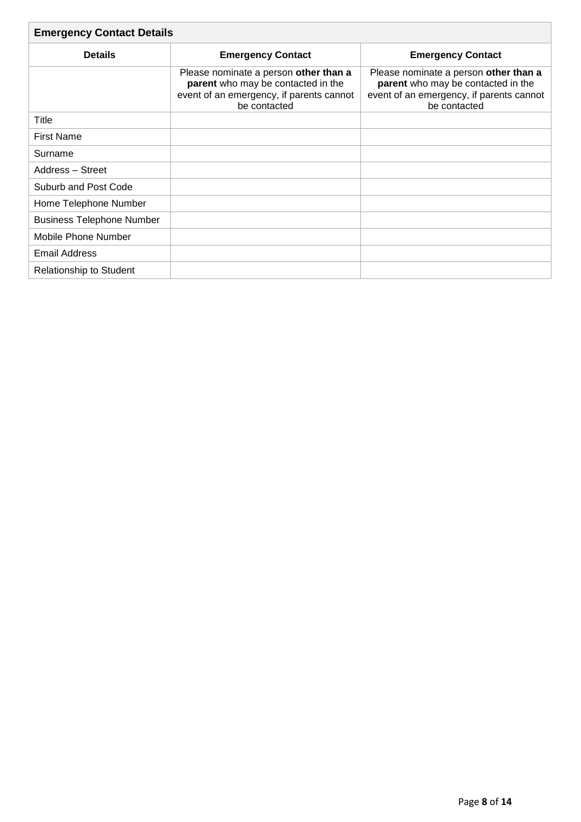| <b>Emergency Contact Details</b> |                                                                                                                                         |                                                                                                                                         |  |  |  |  |
|----------------------------------|-----------------------------------------------------------------------------------------------------------------------------------------|-----------------------------------------------------------------------------------------------------------------------------------------|--|--|--|--|
| <b>Details</b>                   | <b>Emergency Contact</b>                                                                                                                | <b>Emergency Contact</b>                                                                                                                |  |  |  |  |
|                                  | Please nominate a person other than a<br>parent who may be contacted in the<br>event of an emergency, if parents cannot<br>be contacted | Please nominate a person other than a<br>parent who may be contacted in the<br>event of an emergency, if parents cannot<br>be contacted |  |  |  |  |
| Title                            |                                                                                                                                         |                                                                                                                                         |  |  |  |  |
| <b>First Name</b>                |                                                                                                                                         |                                                                                                                                         |  |  |  |  |
| Surname                          |                                                                                                                                         |                                                                                                                                         |  |  |  |  |
| Address - Street                 |                                                                                                                                         |                                                                                                                                         |  |  |  |  |
| Suburb and Post Code             |                                                                                                                                         |                                                                                                                                         |  |  |  |  |
| Home Telephone Number            |                                                                                                                                         |                                                                                                                                         |  |  |  |  |
| <b>Business Telephone Number</b> |                                                                                                                                         |                                                                                                                                         |  |  |  |  |
| Mobile Phone Number              |                                                                                                                                         |                                                                                                                                         |  |  |  |  |
| <b>Email Address</b>             |                                                                                                                                         |                                                                                                                                         |  |  |  |  |
| <b>Relationship to Student</b>   |                                                                                                                                         |                                                                                                                                         |  |  |  |  |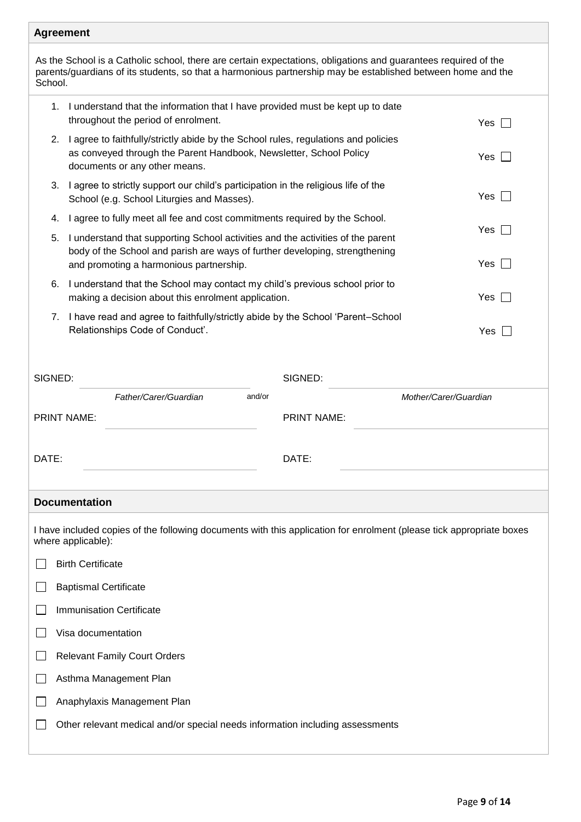# **Agreement**

As the School is a Catholic school, there are certain expectations, obligations and guarantees required of the parents/guardians of its students, so that a harmonious partnership may be established between home and the School.

| School. |    |                                                                                                                                                                                                           |                       |  |
|---------|----|-----------------------------------------------------------------------------------------------------------------------------------------------------------------------------------------------------------|-----------------------|--|
|         | 1. | I understand that the information that I have provided must be kept up to date<br>throughout the period of enrolment.                                                                                     | Yes                   |  |
|         | 2. | I agree to faithfully/strictly abide by the School rules, regulations and policies<br>as conveyed through the Parent Handbook, Newsletter, School Policy<br>documents or any other means.                 | Yes                   |  |
|         | 3. | I agree to strictly support our child's participation in the religious life of the<br>School (e.g. School Liturgies and Masses).                                                                          | Yes                   |  |
|         | 4. | I agree to fully meet all fee and cost commitments required by the School.                                                                                                                                |                       |  |
|         | 5. | I understand that supporting School activities and the activities of the parent<br>body of the School and parish are ways of further developing, strengthening<br>and promoting a harmonious partnership. | Yes<br>Yes            |  |
|         | 6. | I understand that the School may contact my child's previous school prior to<br>making a decision about this enrolment application.                                                                       | Yes                   |  |
|         | 7. | I have read and agree to faithfully/strictly abide by the School 'Parent-School<br>Relationships Code of Conduct'.                                                                                        | Yes                   |  |
| SIGNED: |    | SIGNED:                                                                                                                                                                                                   |                       |  |
|         |    | Father/Carer/Guardian<br>and/or                                                                                                                                                                           | Mother/Carer/Guardian |  |
|         |    | <b>PRINT NAME:</b><br><b>PRINT NAME:</b>                                                                                                                                                                  |                       |  |
| DATE:   |    | DATE:                                                                                                                                                                                                     |                       |  |
|         |    | <b>Documentation</b>                                                                                                                                                                                      |                       |  |
|         |    | I have included copies of the following documents with this application for enrolment (please tick appropriate boxes<br>where applicable):                                                                |                       |  |
|         |    | <b>Birth Certificate</b>                                                                                                                                                                                  |                       |  |
|         |    | <b>Baptismal Certificate</b>                                                                                                                                                                              |                       |  |
|         |    | <b>Immunisation Certificate</b>                                                                                                                                                                           |                       |  |
|         |    | Visa documentation                                                                                                                                                                                        |                       |  |
|         |    | <b>Relevant Family Court Orders</b>                                                                                                                                                                       |                       |  |
|         |    | Asthma Management Plan                                                                                                                                                                                    |                       |  |
|         |    | Anaphylaxis Management Plan                                                                                                                                                                               |                       |  |
|         |    | Other relevant medical and/or special needs information including assessments                                                                                                                             |                       |  |
|         |    |                                                                                                                                                                                                           |                       |  |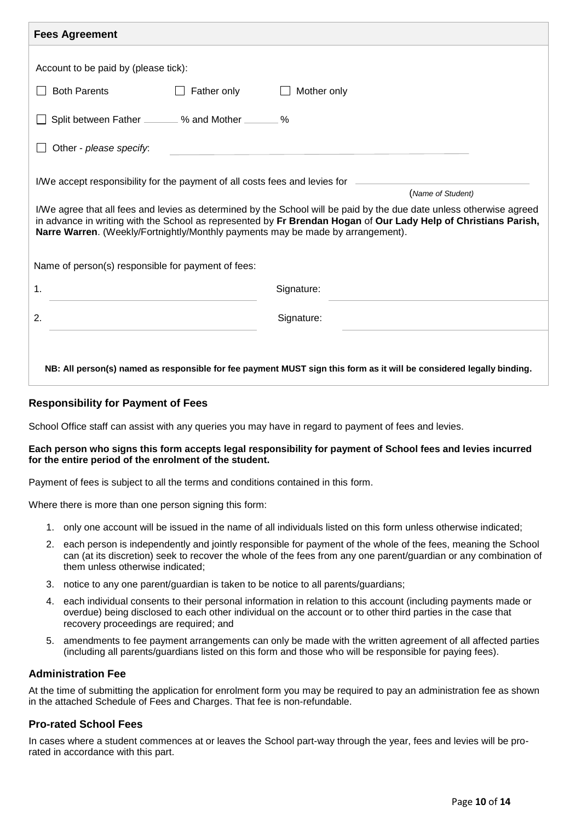| <b>Fees Agreement</b>                                                                                                                                                                                                                                                                                                      |
|----------------------------------------------------------------------------------------------------------------------------------------------------------------------------------------------------------------------------------------------------------------------------------------------------------------------------|
|                                                                                                                                                                                                                                                                                                                            |
| Account to be paid by (please tick):                                                                                                                                                                                                                                                                                       |
| <b>Both Parents</b><br>Father only<br>Mother only                                                                                                                                                                                                                                                                          |
| Split between Father _______ % and Mother ______ %                                                                                                                                                                                                                                                                         |
| Other - please specify:                                                                                                                                                                                                                                                                                                    |
| I/We accept responsibility for the payment of all costs fees and levies for<br>(Name of Student)                                                                                                                                                                                                                           |
| I/We agree that all fees and levies as determined by the School will be paid by the due date unless otherwise agreed<br>in advance in writing with the School as represented by Fr Brendan Hogan of Our Lady Help of Christians Parish,<br>Narre Warren. (Weekly/Fortnightly/Monthly payments may be made by arrangement). |
| Name of person(s) responsible for payment of fees:                                                                                                                                                                                                                                                                         |
| 1.<br>Signature:                                                                                                                                                                                                                                                                                                           |
| 2.<br>Signature:                                                                                                                                                                                                                                                                                                           |
| NB: All person(s) named as responsible for fee payment MUST sign this form as it will be considered legally binding.                                                                                                                                                                                                       |

# **Responsibility for Payment of Fees**

School Office staff can assist with any queries you may have in regard to payment of fees and levies.

#### **Each person who signs this form accepts legal responsibility for payment of School fees and levies incurred for the entire period of the enrolment of the student.**

Payment of fees is subject to all the terms and conditions contained in this form.

Where there is more than one person signing this form:

- 1. only one account will be issued in the name of all individuals listed on this form unless otherwise indicated;
- 2. each person is independently and jointly responsible for payment of the whole of the fees, meaning the School can (at its discretion) seek to recover the whole of the fees from any one parent/guardian or any combination of them unless otherwise indicated;
- 3. notice to any one parent/guardian is taken to be notice to all parents/guardians;
- 4. each individual consents to their personal information in relation to this account (including payments made or overdue) being disclosed to each other individual on the account or to other third parties in the case that recovery proceedings are required; and
- 5. amendments to fee payment arrangements can only be made with the written agreement of all affected parties (including all parents/guardians listed on this form and those who will be responsible for paying fees).

## **Administration Fee**

At the time of submitting the application for enrolment form you may be required to pay an administration fee as shown in the attached Schedule of Fees and Charges. That fee is non-refundable.

## **Pro-rated School Fees**

In cases where a student commences at or leaves the School part-way through the year, fees and levies will be prorated in accordance with this part.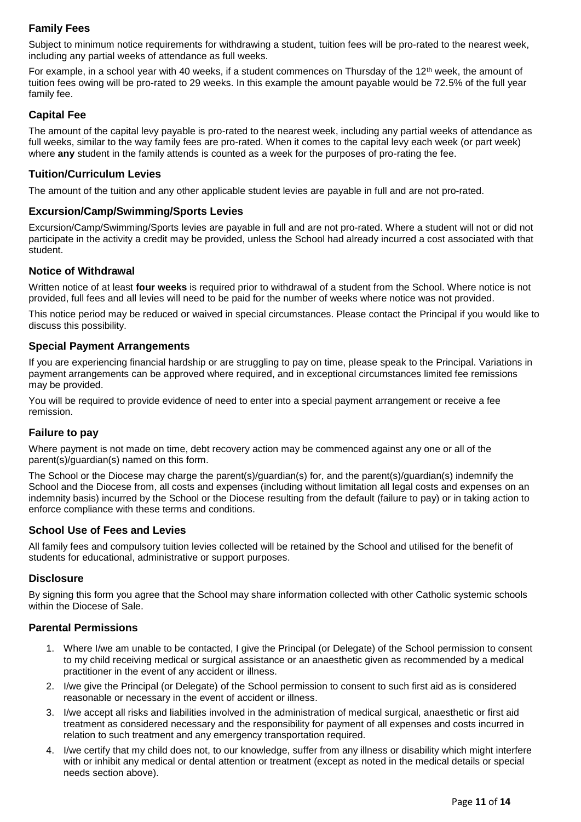# **Family Fees**

Subject to minimum notice requirements for withdrawing a student, tuition fees will be pro-rated to the nearest week, including any partial weeks of attendance as full weeks.

For example, in a school year with 40 weeks, if a student commences on Thursday of the 12<sup>th</sup> week, the amount of tuition fees owing will be pro-rated to 29 weeks. In this example the amount payable would be 72.5% of the full year family fee.

# **Capital Fee**

The amount of the capital levy payable is pro-rated to the nearest week, including any partial weeks of attendance as full weeks, similar to the way family fees are pro-rated. When it comes to the capital levy each week (or part week) where **any** student in the family attends is counted as a week for the purposes of pro-rating the fee.

# **Tuition/Curriculum Levies**

The amount of the tuition and any other applicable student levies are payable in full and are not pro-rated.

# **Excursion/Camp/Swimming/Sports Levies**

Excursion/Camp/Swimming/Sports levies are payable in full and are not pro-rated. Where a student will not or did not participate in the activity a credit may be provided, unless the School had already incurred a cost associated with that student.

## **Notice of Withdrawal**

Written notice of at least **four weeks** is required prior to withdrawal of a student from the School. Where notice is not provided, full fees and all levies will need to be paid for the number of weeks where notice was not provided.

This notice period may be reduced or waived in special circumstances. Please contact the Principal if you would like to discuss this possibility.

# **Special Payment Arrangements**

If you are experiencing financial hardship or are struggling to pay on time, please speak to the Principal. Variations in payment arrangements can be approved where required, and in exceptional circumstances limited fee remissions may be provided.

You will be required to provide evidence of need to enter into a special payment arrangement or receive a fee remission.

## **Failure to pay**

Where payment is not made on time, debt recovery action may be commenced against any one or all of the parent(s)/guardian(s) named on this form.

The School or the Diocese may charge the parent(s)/guardian(s) for, and the parent(s)/guardian(s) indemnify the School and the Diocese from, all costs and expenses (including without limitation all legal costs and expenses on an indemnity basis) incurred by the School or the Diocese resulting from the default (failure to pay) or in taking action to enforce compliance with these terms and conditions.

## **School Use of Fees and Levies**

All family fees and compulsory tuition levies collected will be retained by the School and utilised for the benefit of students for educational, administrative or support purposes.

## **Disclosure**

By signing this form you agree that the School may share information collected with other Catholic systemic schools within the Diocese of Sale.

## **Parental Permissions**

- 1. Where I/we am unable to be contacted, I give the Principal (or Delegate) of the School permission to consent to my child receiving medical or surgical assistance or an anaesthetic given as recommended by a medical practitioner in the event of any accident or illness.
- 2. I/we give the Principal (or Delegate) of the School permission to consent to such first aid as is considered reasonable or necessary in the event of accident or illness.
- 3. I/we accept all risks and liabilities involved in the administration of medical surgical, anaesthetic or first aid treatment as considered necessary and the responsibility for payment of all expenses and costs incurred in relation to such treatment and any emergency transportation required.
- 4. I/we certify that my child does not, to our knowledge, suffer from any illness or disability which might interfere with or inhibit any medical or dental attention or treatment (except as noted in the medical details or special needs section above).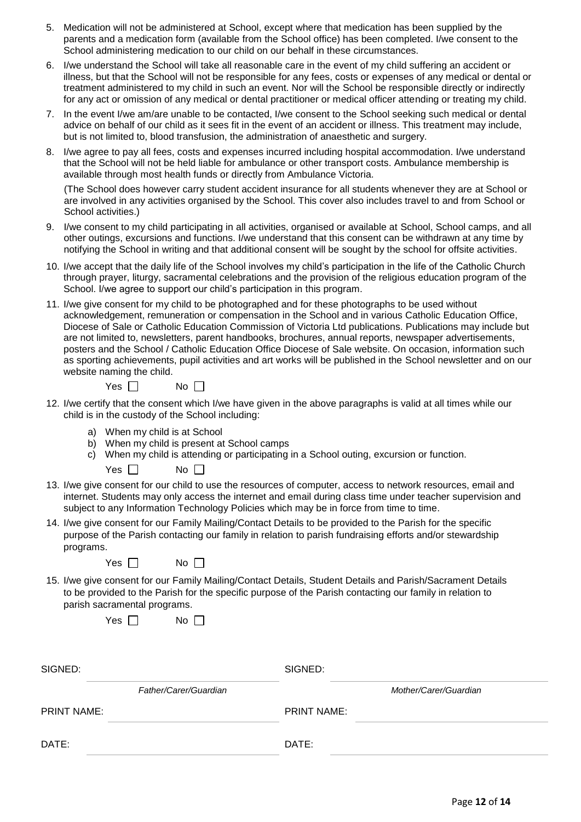- 5. Medication will not be administered at School, except where that medication has been supplied by the parents and a medication form (available from the School office) has been completed. I/we consent to the School administering medication to our child on our behalf in these circumstances.
- 6. I/we understand the School will take all reasonable care in the event of my child suffering an accident or illness, but that the School will not be responsible for any fees, costs or expenses of any medical or dental or treatment administered to my child in such an event. Nor will the School be responsible directly or indirectly for any act or omission of any medical or dental practitioner or medical officer attending or treating my child.
- 7. In the event I/we am/are unable to be contacted, I/we consent to the School seeking such medical or dental advice on behalf of our child as it sees fit in the event of an accident or illness. This treatment may include, but is not limited to, blood transfusion, the administration of anaesthetic and surgery.
- 8. I/we agree to pay all fees, costs and expenses incurred including hospital accommodation. I/we understand that the School will not be held liable for ambulance or other transport costs. Ambulance membership is available through most health funds or directly from Ambulance Victoria.

(The School does however carry student accident insurance for all students whenever they are at School or are involved in any activities organised by the School. This cover also includes travel to and from School or School activities.)

- 9. I/we consent to my child participating in all activities, organised or available at School, School camps, and all other outings, excursions and functions. I/we understand that this consent can be withdrawn at any time by notifying the School in writing and that additional consent will be sought by the school for offsite activities.
- 10. I/we accept that the daily life of the School involves my child's participation in the life of the Catholic Church through prayer, liturgy, sacramental celebrations and the provision of the religious education program of the School. I/we agree to support our child's participation in this program.
- 11. I/we give consent for my child to be photographed and for these photographs to be used without acknowledgement, remuneration or compensation in the School and in various Catholic Education Office, Diocese of Sale or Catholic Education Commission of Victoria Ltd publications. Publications may include but are not limited to, newsletters, parent handbooks, brochures, annual reports, newspaper advertisements, posters and the School / Catholic Education Office Diocese of Sale website. On occasion, information such as sporting achievements, pupil activities and art works will be published in the School newsletter and on our website naming the child.

 $Yes \Box$  No  $\Box$ 

- 12. I/we certify that the consent which I/we have given in the above paragraphs is valid at all times while our child is in the custody of the School including:
	- a) When my child is at School
	- b) When my child is present at School camps

П

c) When my child is attending or participating in a School outing, excursion or function.

| Yes | Nο |  |
|-----|----|--|
|     |    |  |

- 13. I/we give consent for our child to use the resources of computer, access to network resources, email and internet. Students may only access the internet and email during class time under teacher supervision and subject to any Information Technology Policies which may be in force from time to time.
- 14. I/we give consent for our Family Mailing/Contact Details to be provided to the Parish for the specific purpose of the Parish contacting our family in relation to parish fundraising efforts and/or stewardship programs.

| Yes. | N٥ |  |
|------|----|--|
|------|----|--|

15. I/we give consent for our Family Mailing/Contact Details, Student Details and Parish/Sacrament Details to be provided to the Parish for the specific purpose of the Parish contacting our family in relation to parish sacramental programs.

| Yes $\lceil$ |  | Nο |
|--------------|--|----|
|--------------|--|----|

| SIGNED:            |                       | SIGNED:            |                       |
|--------------------|-----------------------|--------------------|-----------------------|
|                    | Father/Carer/Guardian |                    | Mother/Carer/Guardian |
| <b>PRINT NAME:</b> |                       | <b>PRINT NAME:</b> |                       |
| DATE:              |                       | DATE:              |                       |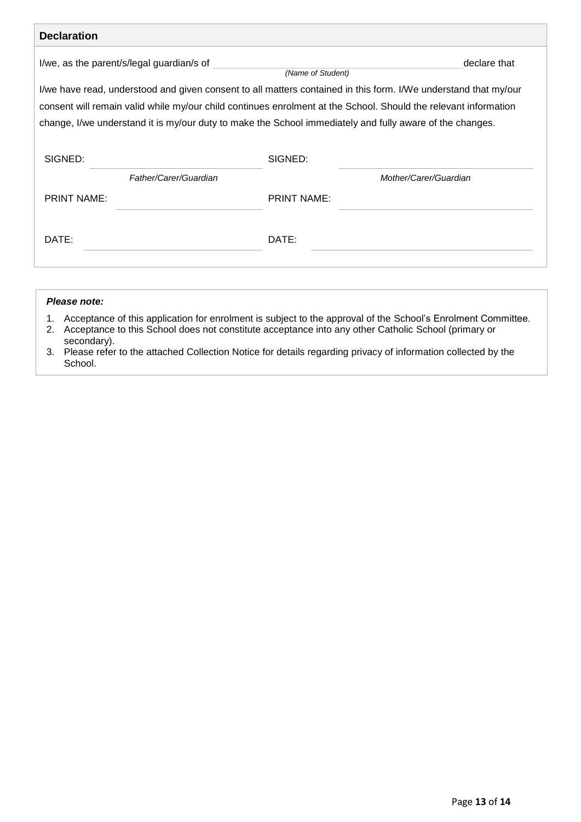| <b>Declaration</b>                        |                                                                                                                 |  |  |  |
|-------------------------------------------|-----------------------------------------------------------------------------------------------------------------|--|--|--|
| I/we, as the parent/s/legal guardian/s of | declare that<br>(Name of Student)                                                                               |  |  |  |
|                                           | I/we have read, understood and given consent to all matters contained in this form. I/We understand that my/our |  |  |  |
|                                           | consent will remain valid while my/our child continues enrolment at the School. Should the relevant information |  |  |  |
|                                           | change, I/we understand it is my/our duty to make the School immediately and fully aware of the changes.        |  |  |  |
|                                           |                                                                                                                 |  |  |  |
| SIGNED:                                   | SIGNED:                                                                                                         |  |  |  |
| Father/Carer/Guardian                     | Mother/Carer/Guardian                                                                                           |  |  |  |
| <b>PRINT NAME:</b>                        | <b>PRINT NAME:</b>                                                                                              |  |  |  |
|                                           |                                                                                                                 |  |  |  |
| DATE:                                     | DATE:                                                                                                           |  |  |  |
|                                           |                                                                                                                 |  |  |  |
|                                           |                                                                                                                 |  |  |  |

#### *Please note:*

- 1. Acceptance of this application for enrolment is subject to the approval of the School's Enrolment Committee.
- 2. Acceptance to this School does not constitute acceptance into any other Catholic School (primary or secondary).
- 3. Please refer to the attached Collection Notice for details regarding privacy of information collected by the School.